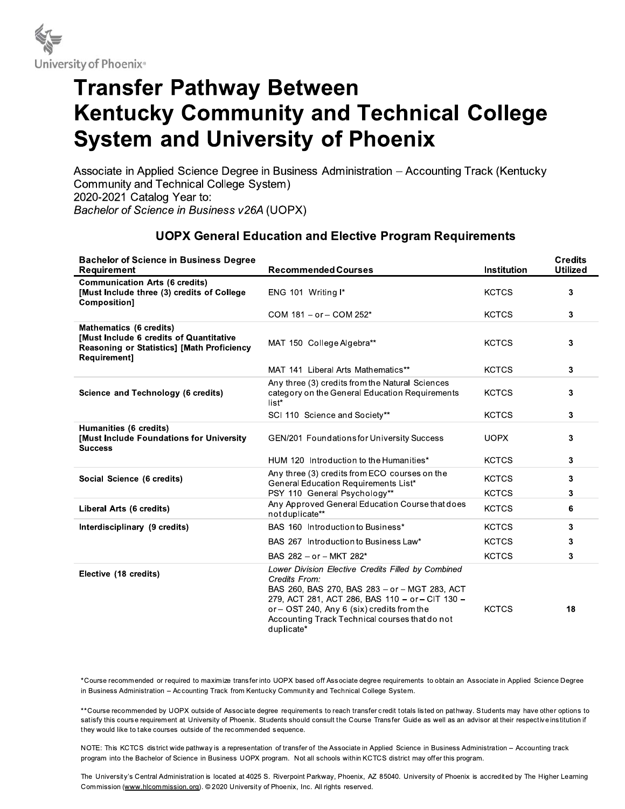

# **Transfer Pathway Between Kentucky Community and Technical College System and University of Phoenix**

Associate in Applied Science Degree in Business Administration - Accounting Track (Kentucky Community and Technical College System) 2020-2021 Catalog Year to: Bachelor of Science in Business v26A (UOPX)

## **UOPX General Education and Elective Program Requirements**

| <b>Bachelor of Science in Business Degree</b><br><b>Requirement</b>                                                             | <b>Recommended Courses</b>                                                                                                                                                                                                                                                            | <b>Institution</b> | <b>Credits</b><br><b>Utilized</b> |
|---------------------------------------------------------------------------------------------------------------------------------|---------------------------------------------------------------------------------------------------------------------------------------------------------------------------------------------------------------------------------------------------------------------------------------|--------------------|-----------------------------------|
| <b>Communication Arts (6 credits)</b><br>[Must Include three (3) credits of College<br>Composition]                             | ENG 101 Writing I*                                                                                                                                                                                                                                                                    | <b>KCTCS</b>       | 3                                 |
|                                                                                                                                 | COM 181 - or - COM 252*                                                                                                                                                                                                                                                               | <b>KCTCS</b>       | 3                                 |
| Mathematics (6 credits)<br>Must Include 6 credits of Quantitative<br>Reasoning or Statistics] [Math Proficiency<br>Requirement] | MAT 150 College Algebra**                                                                                                                                                                                                                                                             | <b>KCTCS</b>       | 3                                 |
|                                                                                                                                 | MAT 141 Liberal Arts Mathematics**                                                                                                                                                                                                                                                    | <b>KCTCS</b>       | 3                                 |
| Science and Technology (6 credits)                                                                                              | Any three (3) credits from the Natural Sciences<br>category on the General Education Requirements<br>list*                                                                                                                                                                            | <b>KCTCS</b>       | 3                                 |
|                                                                                                                                 | SCI 110 Science and Society**                                                                                                                                                                                                                                                         | <b>KCTCS</b>       | 3                                 |
| Humanities (6 credits)<br>[Must Include Foundations for University<br><b>Success</b>                                            | GEN/201 Foundations for University Success                                                                                                                                                                                                                                            | <b>UOPX</b>        | 3                                 |
|                                                                                                                                 | HUM 120 Introduction to the Humanities*                                                                                                                                                                                                                                               | <b>KCTCS</b>       | 3                                 |
| Social Science (6 credits)                                                                                                      | Any three (3) credits from ECO courses on the<br>General Education Requirements List*                                                                                                                                                                                                 | <b>KCTCS</b>       | 3                                 |
|                                                                                                                                 | PSY 110 General Psychology**<br>Any Approved General Education Course that does                                                                                                                                                                                                       | <b>KCTCS</b>       | 3                                 |
| Liberal Arts (6 credits)                                                                                                        | not duplicate**                                                                                                                                                                                                                                                                       | <b>KCTCS</b>       | 6                                 |
| Interdisciplinary (9 credits)                                                                                                   | BAS 160 Introduction to Business*                                                                                                                                                                                                                                                     | <b>KCTCS</b>       | 3                                 |
|                                                                                                                                 | BAS 267 Introduction to Business Law*                                                                                                                                                                                                                                                 | <b>KCTCS</b>       | 3                                 |
|                                                                                                                                 | BAS 282 - or - MKT 282*                                                                                                                                                                                                                                                               | <b>KCTCS</b>       | 3                                 |
| Elective (18 credits)                                                                                                           | Lower Division Elective Credits Filled by Combined<br>Credits From:<br>BAS 260, BAS 270, BAS 283 - or - MGT 283, ACT<br>279, ACT 281, ACT 286, BAS 110 - or - CIT 130 -<br>or - OST 240, Any 6 (six) credits from the<br>Accounting Track Technical courses that do not<br>duplicate* | <b>KCTCS</b>       | 18                                |

\*Course recommended or required to maximize transfer into UOPX based off Associate degree requirements to obtain an Associate in Applied Science Degree in Business Administration - Accounting Track from Kentucky Community and Technical College System.

\*\*Course recommended by UOPX outside of Associate degree requirements to reach transfer credit totals listed on pathway. Students may have other options to satisfy this course requirement at University of Phoenix. Students should consult the Course Transfer Guide as well as an advisor at their respective institution if they would like to take courses outside of the recommended sequence.

NOTE: This KCTCS district wide pathway is a representation of transfer of the Associate in Applied Science in Business Administration - Accounting track program into the Bachelor of Science in Business UOPX program. Not all schools within KCTCS district may offer this program.

The University's Central Administration is located at 4025 S. Riverpoint Parkway, Phoenix, AZ 85040. University of Phoenix is accredited by The Higher Learning Commission (www.hlcommission.org). © 2020 University of Phoenix, Inc. All rights reserved.